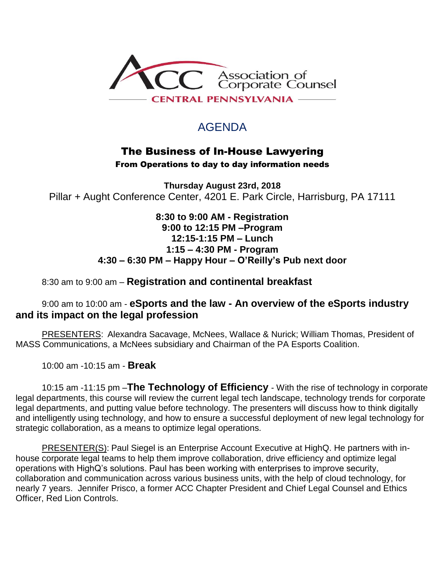

## AGENDA

### The Business of In-House Lawyering

From Operations to day to day information needs

**Thursday August 23rd, 2018** Pillar + Aught Conference Center, 4201 E. Park Circle, Harrisburg, PA 17111

> **8:30 to 9:00 AM - Registration 9:00 to 12:15 PM –Program 12:15-1:15 PM – Lunch 1:15 – 4:30 PM - Program 4:30 – 6:30 PM – Happy Hour – O'Reilly's Pub next door**

#### 8:30 am to 9:00 am – **Registration and continental breakfast**

#### 9:00 am to 10:00 am - **eSports and the law - An overview of the eSports industry and its impact on the legal profession**

PRESENTERS: Alexandra Sacavage, McNees, Wallace & Nurick; William Thomas, President of MASS Communications, a McNees subsidiary and Chairman of the PA Esports Coalition.

10:00 am -10:15 am - **Break**

10:15 am -11:15 pm –**The Technology of Efficiency** - With the rise of technology in corporate legal departments, this course will review the current legal tech landscape, technology trends for corporate legal departments, and putting value before technology. The presenters will discuss how to think digitally and intelligently using technology, and how to ensure a successful deployment of new legal technology for strategic collaboration, as a means to optimize legal operations.

PRESENTER(S): Paul Siegel is an Enterprise Account Executive at HighQ. He partners with inhouse corporate legal teams to help them improve collaboration, drive efficiency and optimize legal operations with HighQ's solutions. Paul has been working with enterprises to improve security, collaboration and communication across various business units, with the help of cloud technology, for nearly 7 years. Jennifer Prisco, a former ACC Chapter President and Chief Legal Counsel and Ethics Officer, Red Lion Controls.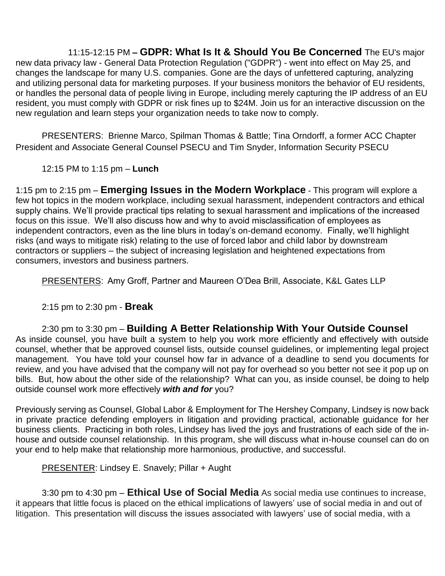11:15-12:15 PM **– GDPR: What Is It & Should You Be Concerned** The EU's major new data privacy law - General Data Protection Regulation ("GDPR") - went into effect on May 25, and changes the landscape for many U.S. companies. Gone are the days of unfettered capturing, analyzing and utilizing personal data for marketing purposes. If your business monitors the behavior of EU residents, or handles the personal data of people living in Europe, including merely capturing the IP address of an EU resident, you must comply with GDPR or risk fines up to \$24M. Join us for an interactive discussion on the new regulation and learn steps your organization needs to take now to comply.

PRESENTERS: Brienne Marco, Spilman Thomas & Battle; Tina Orndorff, a former ACC Chapter President and Associate General Counsel PSECU and Tim Snyder, Information Security PSECU

12:15 PM to 1:15 pm – **Lunch**

1:15 pm to 2:15 pm – **Emerging Issues in the Modern Workplace** - This program will explore a few hot topics in the modern workplace, including sexual harassment, independent contractors and ethical supply chains. We'll provide practical tips relating to sexual harassment and implications of the increased focus on this issue. We'll also discuss how and why to avoid misclassification of employees as independent contractors, even as the line blurs in today's on-demand economy. Finally, we'll highlight risks (and ways to mitigate risk) relating to the use of forced labor and child labor by downstream contractors or suppliers – the subject of increasing legislation and heightened expectations from consumers, investors and business partners.

PRESENTERS: Amy Groff, Partner and Maureen O'Dea Brill, Associate, K&L Gates LLP

#### 2:15 pm to 2:30 pm - **Break**

2:30 pm to 3:30 pm – **Building A Better Relationship With Your Outside Counsel** As inside counsel, you have built a system to help you work more efficiently and effectively with outside counsel, whether that be approved counsel lists, outside counsel guidelines, or implementing legal project management. You have told your counsel how far in advance of a deadline to send you documents for review, and you have advised that the company will not pay for overhead so you better not see it pop up on bills. But, how about the other side of the relationship? What can you, as inside counsel, be doing to help outside counsel work more effectively *with and for* you?

Previously serving as Counsel, Global Labor & Employment for The Hershey Company, Lindsey is now back in private practice defending employers in litigation and providing practical, actionable guidance for her business clients. Practicing in both roles, Lindsey has lived the joys and frustrations of each side of the inhouse and outside counsel relationship. In this program, she will discuss what in-house counsel can do on your end to help make that relationship more harmonious, productive, and successful.

PRESENTER: Lindsey E. Snavely; Pillar + Aught

3:30 pm to 4:30 pm – **Ethical Use of Social Media** As social media use continues to increase, it appears that little focus is placed on the ethical implications of lawyers' use of social media in and out of litigation. This presentation will discuss the issues associated with lawyers' use of social media, with a